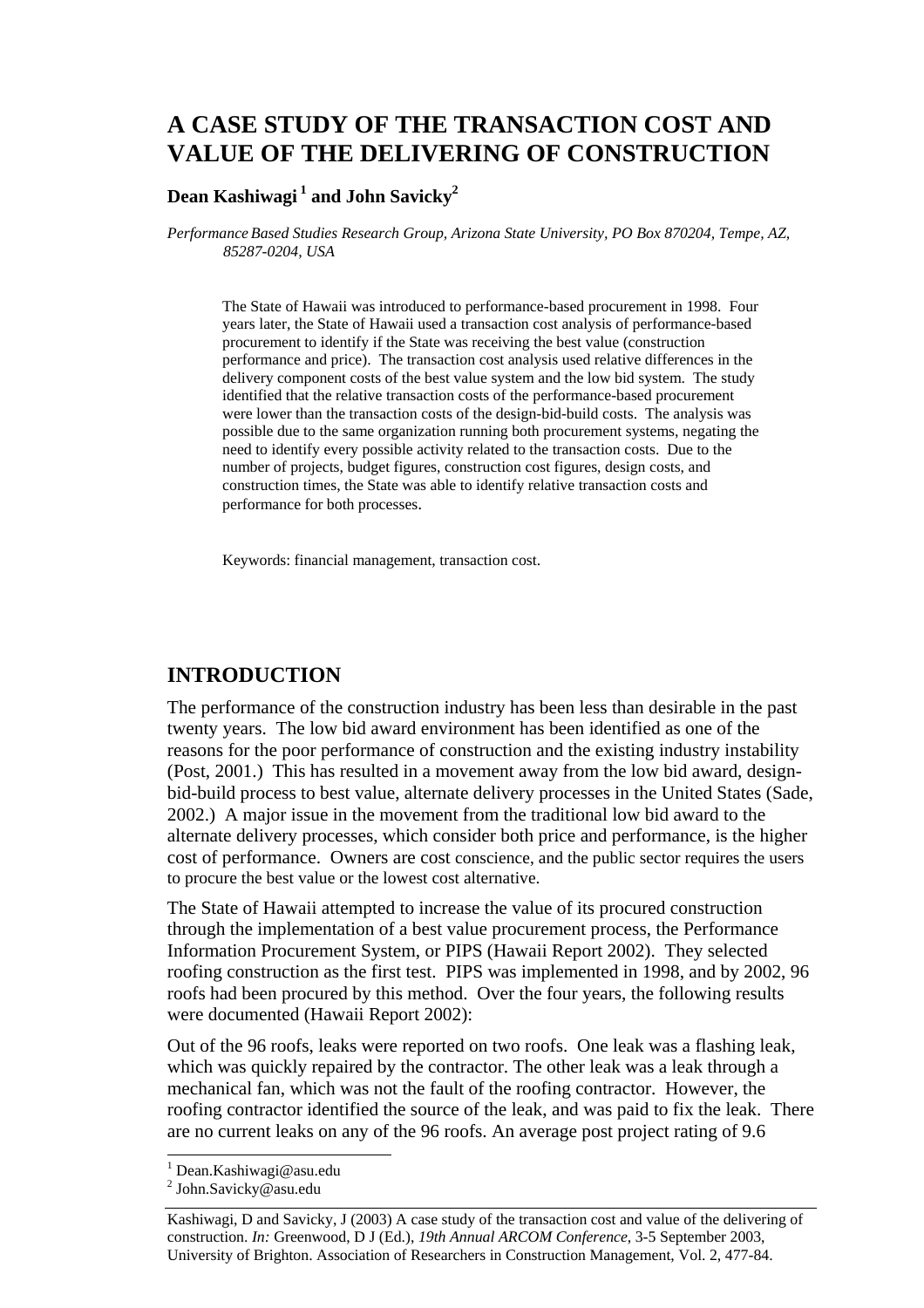# **A CASE STUDY OF THE TRANSACTION COST AND VALUE OF THE DELIVERING OF CONSTRUCTION**

#### **Dean Kashiwagi 1 and John Savicky2**

*Performance Based Studies Research Group, Arizona State University, PO Box 870204, Tempe, AZ, 85287-0204, USA* 

The State of Hawaii was introduced to performance-based procurement in 1998. Four years later, the State of Hawaii used a transaction cost analysis of performance-based procurement to identify if the State was receiving the best value (construction performance and price). The transaction cost analysis used relative differences in the delivery component costs of the best value system and the low bid system. The study identified that the relative transaction costs of the performance-based procurement were lower than the transaction costs of the design-bid-build costs. The analysis was possible due to the same organization running both procurement systems, negating the need to identify every possible activity related to the transaction costs. Due to the number of projects, budget figures, construction cost figures, design costs, and construction times, the State was able to identify relative transaction costs and performance for both processes.

Keywords: financial management, transaction cost.

### **INTRODUCTION**

The performance of the construction industry has been less than desirable in the past twenty years. The low bid award environment has been identified as one of the reasons for the poor performance of construction and the existing industry instability (Post, 2001.) This has resulted in a movement away from the low bid award, designbid-build process to best value, alternate delivery processes in the United States (Sade, 2002.) A major issue in the movement from the traditional low bid award to the alternate delivery processes, which consider both price and performance, is the higher cost of performance. Owners are cost conscience, and the public sector requires the users to procure the best value or the lowest cost alternative.

The State of Hawaii attempted to increase the value of its procured construction through the implementation of a best value procurement process, the Performance Information Procurement System, or PIPS (Hawaii Report 2002). They selected roofing construction as the first test. PIPS was implemented in 1998, and by 2002, 96 roofs had been procured by this method. Over the four years, the following results were documented (Hawaii Report 2002):

Out of the 96 roofs, leaks were reported on two roofs. One leak was a flashing leak, which was quickly repaired by the contractor. The other leak was a leak through a mechanical fan, which was not the fault of the roofing contractor. However, the roofing contractor identified the source of the leak, and was paid to fix the leak. There are no current leaks on any of the 96 roofs. An average post project rating of 9.6

l

<sup>1</sup> Dean.Kashiwagi@asu.edu

<sup>&</sup>lt;sup>2</sup> John.Savicky@asu.edu

Kashiwagi, D and Savicky, J (2003) A case study of the transaction cost and value of the delivering of construction. *In:* Greenwood, D J (Ed.), *19th Annual ARCOM Conference*, 3-5 September 2003, University of Brighton. Association of Researchers in Construction Management, Vol. 2, 477-84.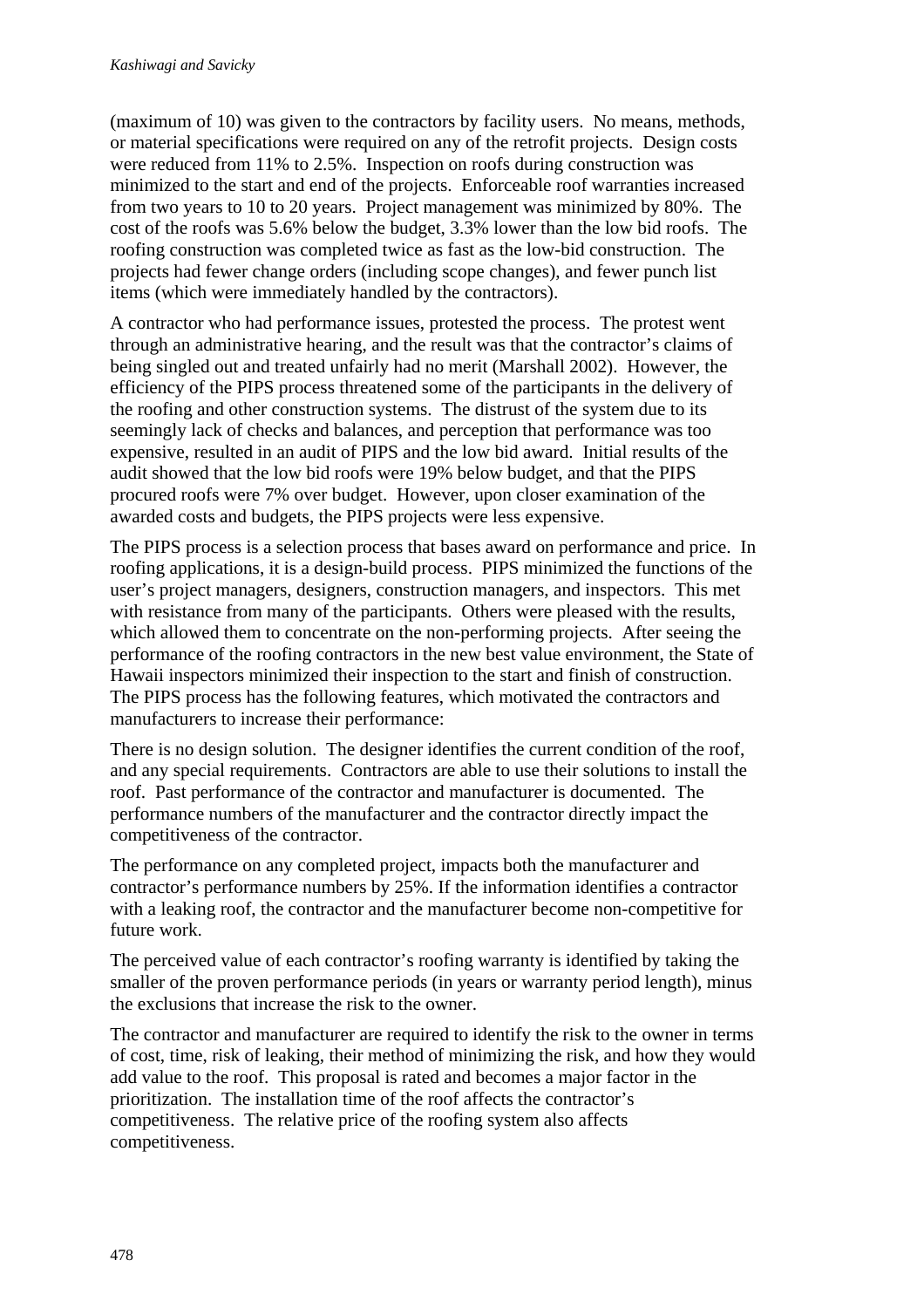(maximum of 10) was given to the contractors by facility users. No means, methods, or material specifications were required on any of the retrofit projects. Design costs were reduced from 11% to 2.5%. Inspection on roofs during construction was minimized to the start and end of the projects. Enforceable roof warranties increased from two years to 10 to 20 years. Project management was minimized by 80%. The cost of the roofs was 5.6% below the budget, 3.3% lower than the low bid roofs. The roofing construction was completed twice as fast as the low-bid construction. The projects had fewer change orders (including scope changes), and fewer punch list items (which were immediately handled by the contractors).

A contractor who had performance issues, protested the process. The protest went through an administrative hearing, and the result was that the contractor's claims of being singled out and treated unfairly had no merit (Marshall 2002). However, the efficiency of the PIPS process threatened some of the participants in the delivery of the roofing and other construction systems. The distrust of the system due to its seemingly lack of checks and balances, and perception that performance was too expensive, resulted in an audit of PIPS and the low bid award. Initial results of the audit showed that the low bid roofs were 19% below budget, and that the PIPS procured roofs were 7% over budget. However, upon closer examination of the awarded costs and budgets, the PIPS projects were less expensive.

The PIPS process is a selection process that bases award on performance and price. In roofing applications, it is a design-build process. PIPS minimized the functions of the user's project managers, designers, construction managers, and inspectors. This met with resistance from many of the participants. Others were pleased with the results, which allowed them to concentrate on the non-performing projects. After seeing the performance of the roofing contractors in the new best value environment, the State of Hawaii inspectors minimized their inspection to the start and finish of construction. The PIPS process has the following features, which motivated the contractors and manufacturers to increase their performance:

There is no design solution. The designer identifies the current condition of the roof, and any special requirements. Contractors are able to use their solutions to install the roof. Past performance of the contractor and manufacturer is documented. The performance numbers of the manufacturer and the contractor directly impact the competitiveness of the contractor.

The performance on any completed project, impacts both the manufacturer and contractor's performance numbers by 25%. If the information identifies a contractor with a leaking roof, the contractor and the manufacturer become non-competitive for future work.

The perceived value of each contractor's roofing warranty is identified by taking the smaller of the proven performance periods (in years or warranty period length), minus the exclusions that increase the risk to the owner.

The contractor and manufacturer are required to identify the risk to the owner in terms of cost, time, risk of leaking, their method of minimizing the risk, and how they would add value to the roof. This proposal is rated and becomes a major factor in the prioritization. The installation time of the roof affects the contractor's competitiveness. The relative price of the roofing system also affects competitiveness.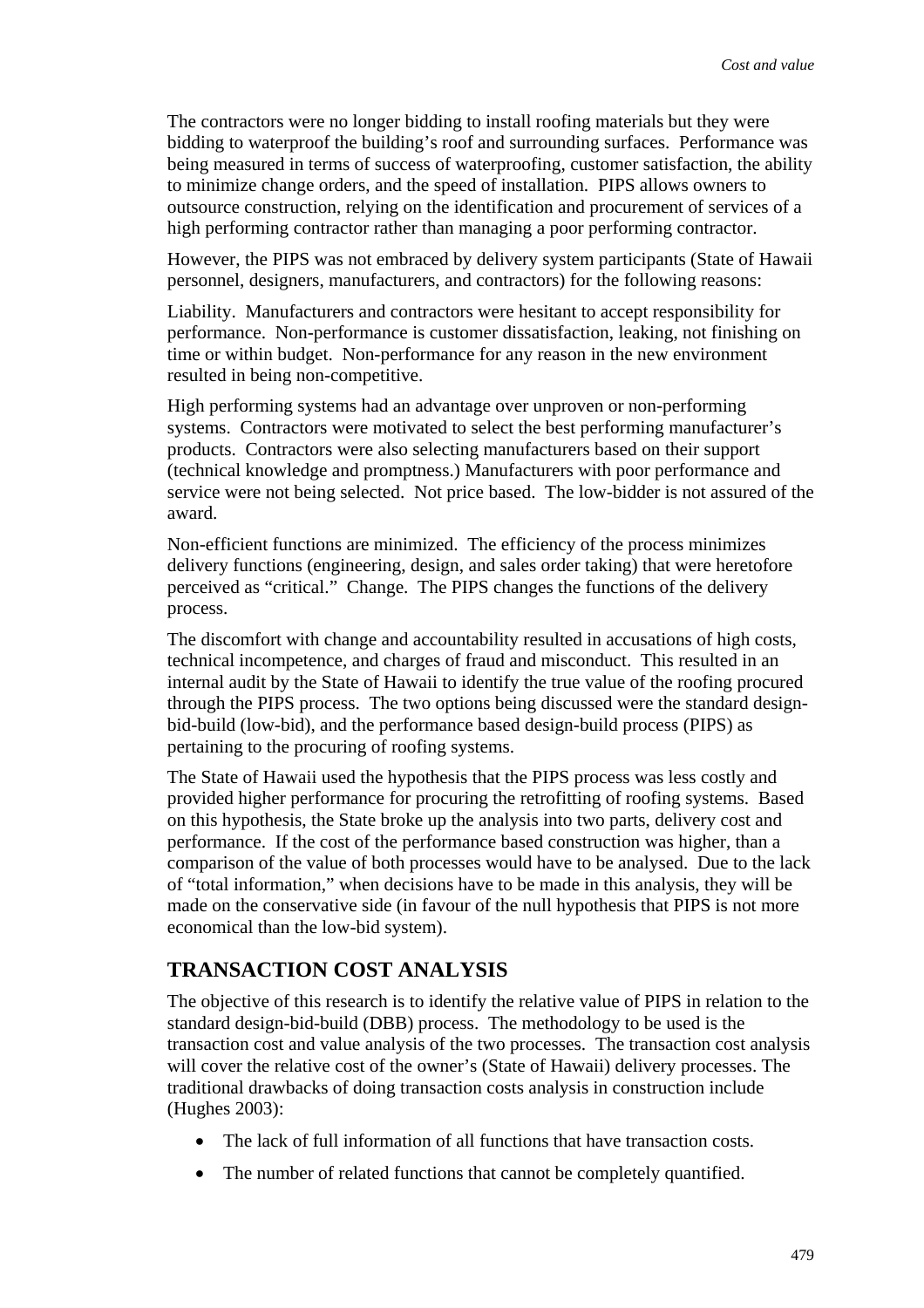The contractors were no longer bidding to install roofing materials but they were bidding to waterproof the building's roof and surrounding surfaces. Performance was being measured in terms of success of waterproofing, customer satisfaction, the ability to minimize change orders, and the speed of installation. PIPS allows owners to outsource construction, relying on the identification and procurement of services of a high performing contractor rather than managing a poor performing contractor.

However, the PIPS was not embraced by delivery system participants (State of Hawaii personnel, designers, manufacturers, and contractors) for the following reasons:

Liability. Manufacturers and contractors were hesitant to accept responsibility for performance. Non-performance is customer dissatisfaction, leaking, not finishing on time or within budget. Non-performance for any reason in the new environment resulted in being non-competitive.

High performing systems had an advantage over unproven or non-performing systems. Contractors were motivated to select the best performing manufacturer's products. Contractors were also selecting manufacturers based on their support (technical knowledge and promptness.) Manufacturers with poor performance and service were not being selected. Not price based. The low-bidder is not assured of the award.

Non-efficient functions are minimized. The efficiency of the process minimizes delivery functions (engineering, design, and sales order taking) that were heretofore perceived as "critical." Change. The PIPS changes the functions of the delivery process.

The discomfort with change and accountability resulted in accusations of high costs, technical incompetence, and charges of fraud and misconduct. This resulted in an internal audit by the State of Hawaii to identify the true value of the roofing procured through the PIPS process. The two options being discussed were the standard designbid-build (low-bid), and the performance based design-build process (PIPS) as pertaining to the procuring of roofing systems.

The State of Hawaii used the hypothesis that the PIPS process was less costly and provided higher performance for procuring the retrofitting of roofing systems. Based on this hypothesis, the State broke up the analysis into two parts, delivery cost and performance. If the cost of the performance based construction was higher, than a comparison of the value of both processes would have to be analysed. Due to the lack of "total information," when decisions have to be made in this analysis, they will be made on the conservative side (in favour of the null hypothesis that PIPS is not more economical than the low-bid system).

### **TRANSACTION COST ANALYSIS**

The objective of this research is to identify the relative value of PIPS in relation to the standard design-bid-build (DBB) process. The methodology to be used is the transaction cost and value analysis of the two processes. The transaction cost analysis will cover the relative cost of the owner's (State of Hawaii) delivery processes. The traditional drawbacks of doing transaction costs analysis in construction include (Hughes 2003):

- The lack of full information of all functions that have transaction costs.
- The number of related functions that cannot be completely quantified.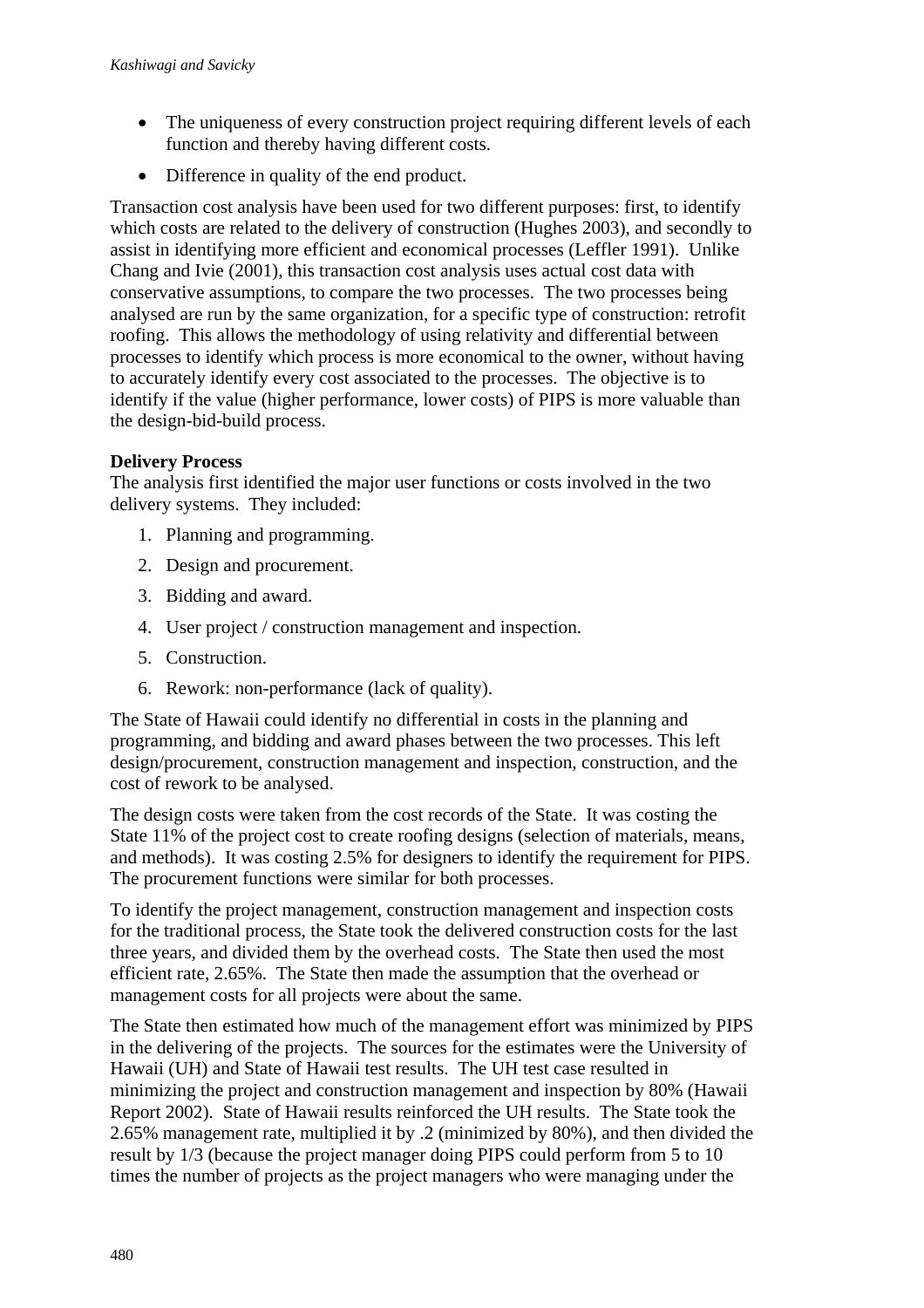- The uniqueness of every construction project requiring different levels of each function and thereby having different costs.
- Difference in quality of the end product.

Transaction cost analysis have been used for two different purposes: first, to identify which costs are related to the delivery of construction (Hughes 2003), and secondly to assist in identifying more efficient and economical processes (Leffler 1991). Unlike Chang and Ivie (2001), this transaction cost analysis uses actual cost data with conservative assumptions, to compare the two processes. The two processes being analysed are run by the same organization, for a specific type of construction: retrofit roofing. This allows the methodology of using relativity and differential between processes to identify which process is more economical to the owner, without having to accurately identify every cost associated to the processes. The objective is to identify if the value (higher performance, lower costs) of PIPS is more valuable than the design-bid-build process.

#### **Delivery Process**

The analysis first identified the major user functions or costs involved in the two delivery systems. They included:

- 1. Planning and programming.
- 2. Design and procurement.
- 3. Bidding and award.
- 4. User project / construction management and inspection.
- 5. Construction.
- 6. Rework: non-performance (lack of quality).

The State of Hawaii could identify no differential in costs in the planning and programming, and bidding and award phases between the two processes. This left design/procurement, construction management and inspection, construction, and the cost of rework to be analysed.

The design costs were taken from the cost records of the State. It was costing the State 11% of the project cost to create roofing designs (selection of materials, means, and methods). It was costing 2.5% for designers to identify the requirement for PIPS. The procurement functions were similar for both processes.

To identify the project management, construction management and inspection costs for the traditional process, the State took the delivered construction costs for the last three years, and divided them by the overhead costs. The State then used the most efficient rate, 2.65%. The State then made the assumption that the overhead or management costs for all projects were about the same.

The State then estimated how much of the management effort was minimized by PIPS in the delivering of the projects. The sources for the estimates were the University of Hawaii (UH) and State of Hawaii test results. The UH test case resulted in minimizing the project and construction management and inspection by 80% (Hawaii Report 2002). State of Hawaii results reinforced the UH results. The State took the 2.65% management rate, multiplied it by .2 (minimized by 80%), and then divided the result by 1/3 (because the project manager doing PIPS could perform from 5 to 10 times the number of projects as the project managers who were managing under the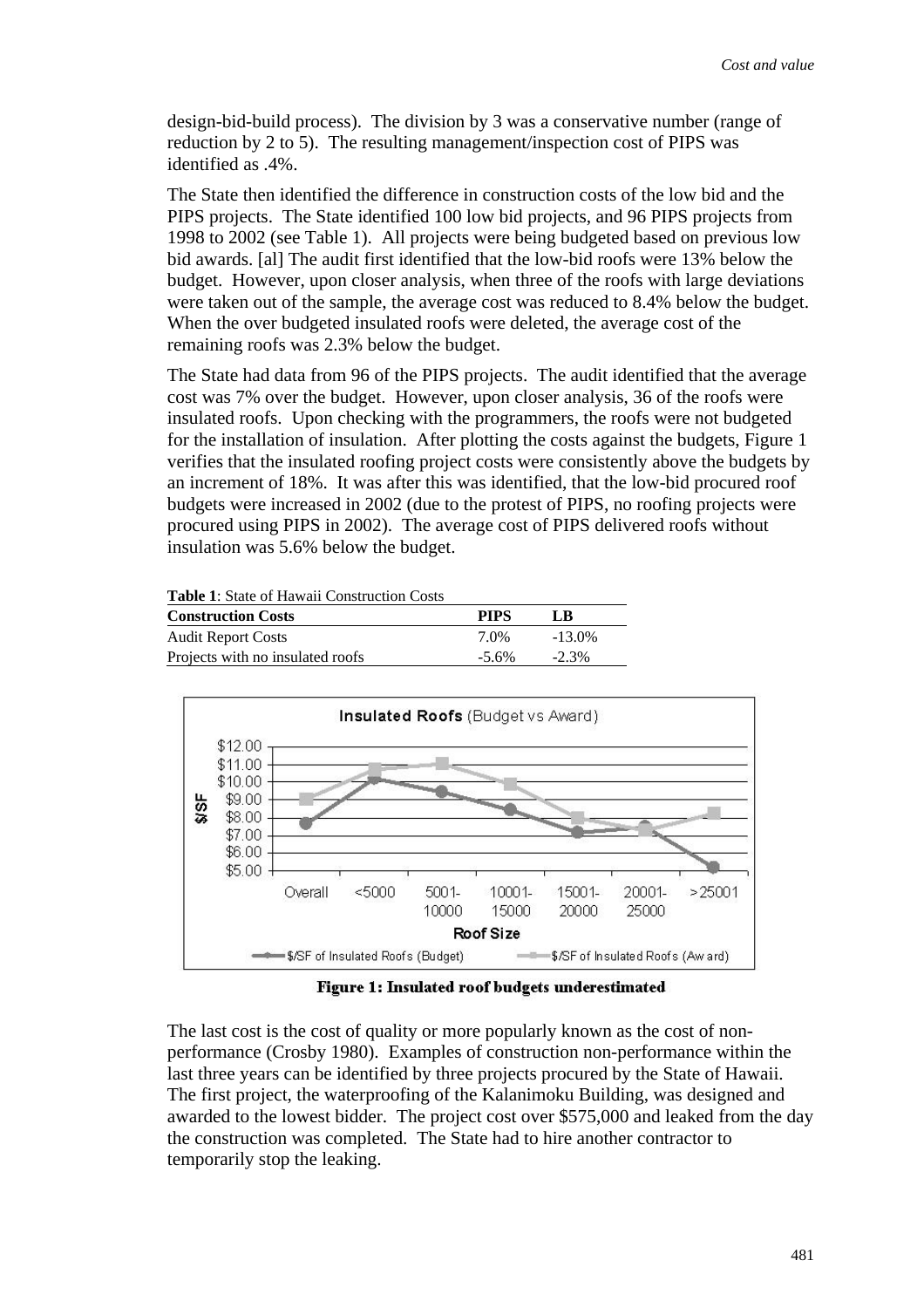design-bid-build process). The division by 3 was a conservative number (range of reduction by 2 to 5). The resulting management/inspection cost of PIPS was identified as .4%.

The State then identified the difference in construction costs of the low bid and the PIPS projects. The State identified 100 low bid projects, and 96 PIPS projects from 1998 to 2002 (see Table 1). All projects were being budgeted based on previous low bid awards. [al] The audit first identified that the low-bid roofs were 13% below the budget. However, upon closer analysis, when three of the roofs with large deviations were taken out of the sample, the average cost was reduced to 8.4% below the budget. When the over budgeted insulated roofs were deleted, the average cost of the remaining roofs was 2.3% below the budget.

The State had data from 96 of the PIPS projects. The audit identified that the average cost was 7% over the budget. However, upon closer analysis, 36 of the roofs were insulated roofs. Upon checking with the programmers, the roofs were not budgeted for the installation of insulation. After plotting the costs against the budgets, Figure 1 verifies that the insulated roofing project costs were consistently above the budgets by an increment of 18%. It was after this was identified, that the low-bid procured roof budgets were increased in 2002 (due to the protest of PIPS, no roofing projects were procured using PIPS in 2002). The average cost of PIPS delivered roofs without insulation was 5.6% below the budget.

| <b>Table 1:</b> State of Hawaii Construction Costs |             |           |
|----------------------------------------------------|-------------|-----------|
| <b>Construction Costs</b>                          | <b>PIPS</b> | L-B       |
| <b>Audit Report Costs</b>                          | 7.0%        | $-13.0\%$ |
| Projects with no insulated roofs                   | $-5.6\%$    | $-2.3\%$  |



Figure 1: Insulated roof budgets underestimated

The last cost is the cost of quality or more popularly known as the cost of nonperformance (Crosby 1980). Examples of construction non-performance within the last three years can be identified by three projects procured by the State of Hawaii. The first project, the waterproofing of the Kalanimoku Building, was designed and awarded to the lowest bidder. The project cost over \$575,000 and leaked from the day the construction was completed. The State had to hire another contractor to temporarily stop the leaking.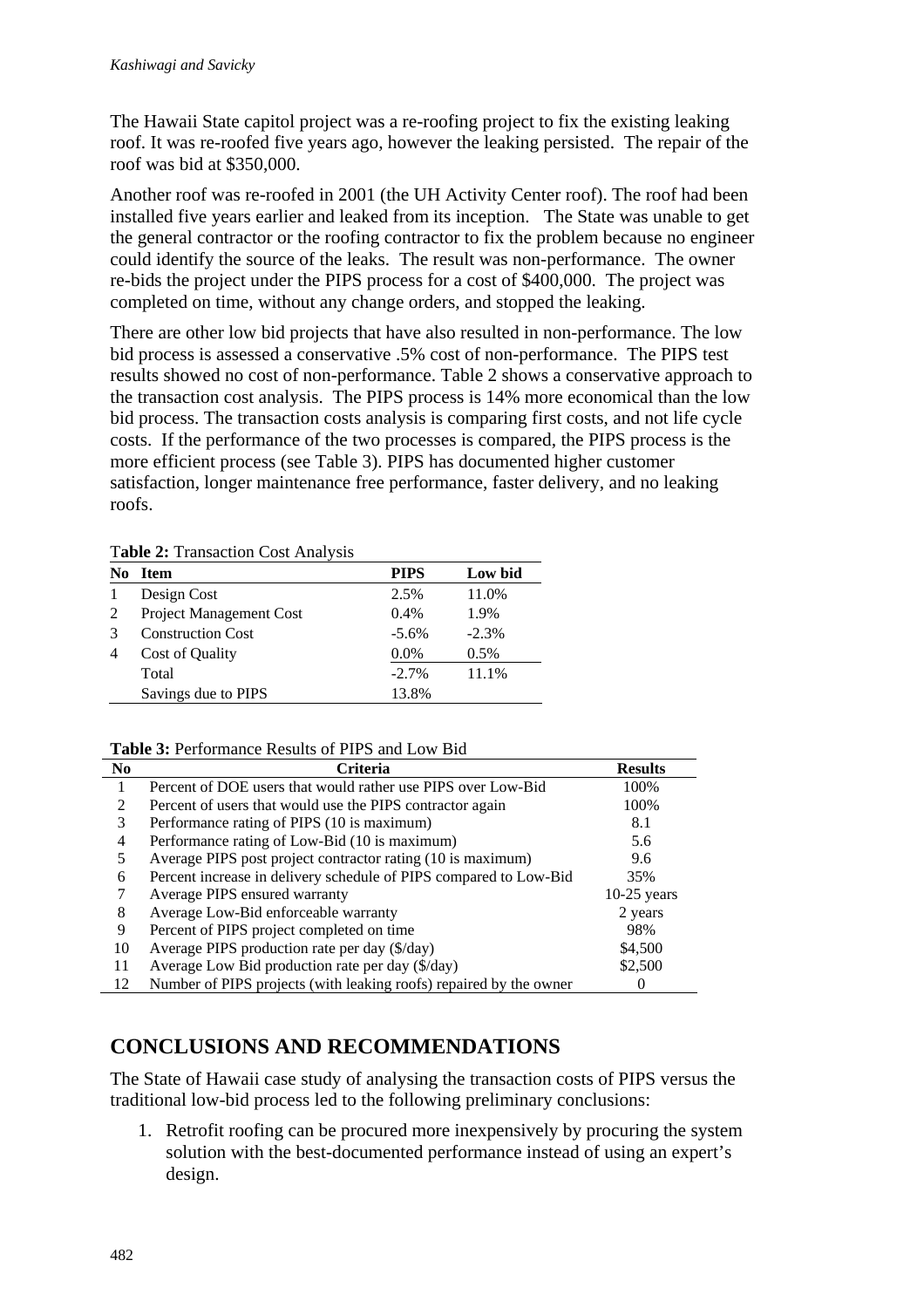The Hawaii State capitol project was a re-roofing project to fix the existing leaking roof. It was re-roofed five years ago, however the leaking persisted. The repair of the roof was bid at \$350,000.

Another roof was re-roofed in 2001 (the UH Activity Center roof). The roof had been installed five years earlier and leaked from its inception. The State was unable to get the general contractor or the roofing contractor to fix the problem because no engineer could identify the source of the leaks. The result was non-performance. The owner re-bids the project under the PIPS process for a cost of \$400,000. The project was completed on time, without any change orders, and stopped the leaking.

There are other low bid projects that have also resulted in non-performance. The low bid process is assessed a conservative .5% cost of non-performance. The PIPS test results showed no cost of non-performance. Table 2 shows a conservative approach to the transaction cost analysis. The PIPS process is 14% more economical than the low bid process. The transaction costs analysis is comparing first costs, and not life cycle costs. If the performance of the two processes is compared, the PIPS process is the more efficient process (see Table 3). PIPS has documented higher customer satisfaction, longer maintenance free performance, faster delivery, and no leaking roofs.

T**able 2:** Transaction Cost Analysis

| No. | <b>Item</b>              | <b>PIPS</b> | Low bid |
|-----|--------------------------|-------------|---------|
|     | Design Cost              | 2.5%        | 11.0%   |
|     | Project Management Cost  | $0.4\%$     | 1.9%    |
|     | <b>Construction Cost</b> | $-5.6\%$    | $-2.3%$ |
|     | Cost of Quality          | 0.0%        | 0.5%    |
|     | Total                    | $-2.7\%$    | 11.1%   |
|     | Savings due to PIPS      | 13.8%       |         |

**Table 3:** Performance Results of PIPS and Low Bid

| N <sub>0</sub> | <b>Criteria</b>                                                    | <b>Results</b> |
|----------------|--------------------------------------------------------------------|----------------|
|                | Percent of DOE users that would rather use PIPS over Low-Bid       | 100%           |
|                | Percent of users that would use the PIPS contractor again          | 100%           |
|                | Performance rating of PIPS (10 is maximum)                         | 8.1            |
| 4              | Performance rating of Low-Bid (10 is maximum)                      | 5.6            |
|                | Average PIPS post project contractor rating (10 is maximum)        | 9.6            |
| 6              | Percent increase in delivery schedule of PIPS compared to Low-Bid  | 35%            |
|                | Average PIPS ensured warranty                                      | $10-25$ years  |
| 8              | Average Low-Bid enforceable warranty                               | 2 years        |
| 9              | Percent of PIPS project completed on time                          | 98%            |
| 10             | Average PIPS production rate per day (\$/day)                      | \$4,500        |
| 11             | Average Low Bid production rate per day (\$/day)                   | \$2,500        |
| 12             | Number of PIPS projects (with leaking roofs) repaired by the owner |                |

## **CONCLUSIONS AND RECOMMENDATIONS**

The State of Hawaii case study of analysing the transaction costs of PIPS versus the traditional low-bid process led to the following preliminary conclusions:

1. Retrofit roofing can be procured more inexpensively by procuring the system solution with the best-documented performance instead of using an expert's design.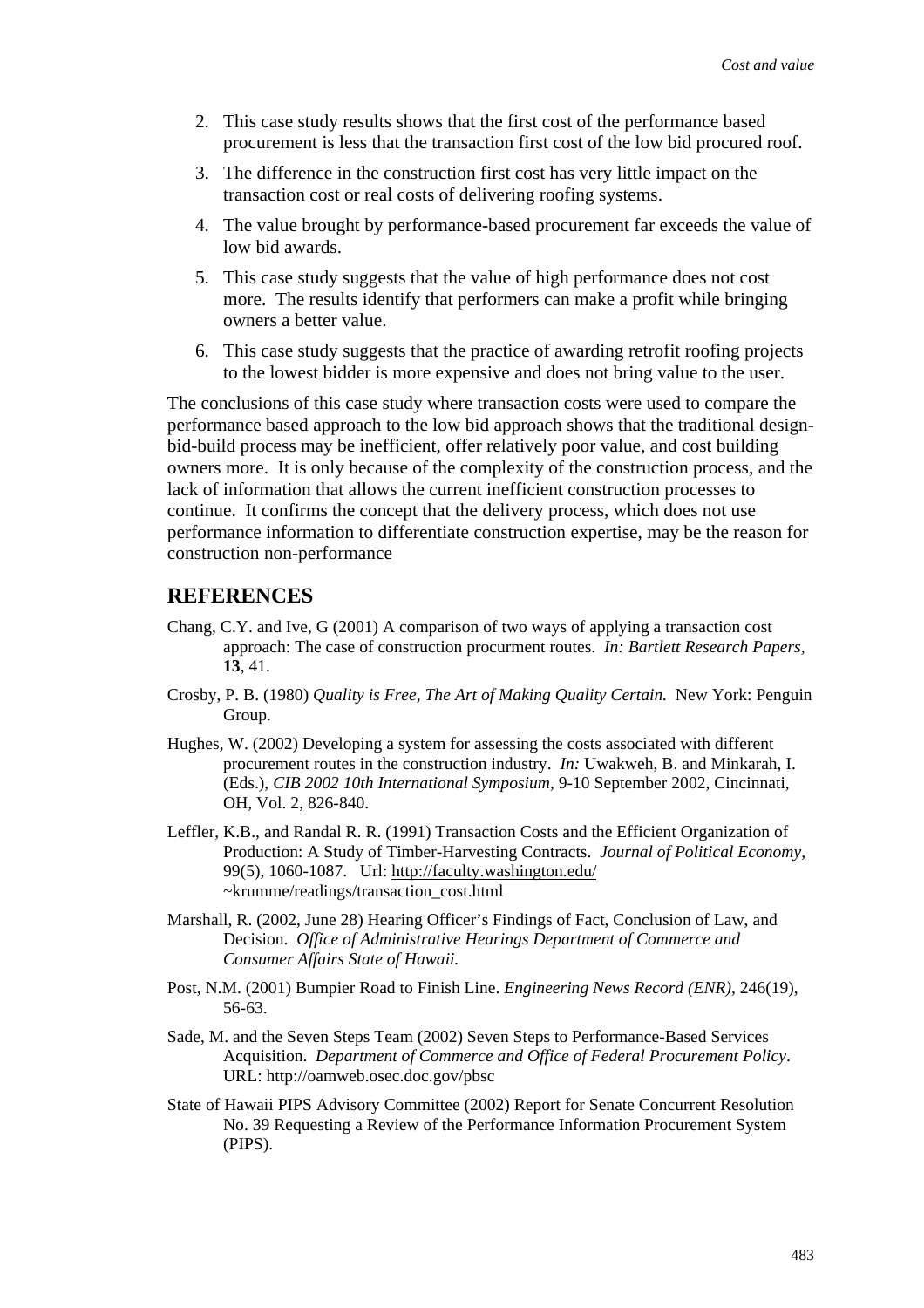- 2. This case study results shows that the first cost of the performance based procurement is less that the transaction first cost of the low bid procured roof.
- 3. The difference in the construction first cost has very little impact on the transaction cost or real costs of delivering roofing systems.
- 4. The value brought by performance-based procurement far exceeds the value of low bid awards.
- 5. This case study suggests that the value of high performance does not cost more. The results identify that performers can make a profit while bringing owners a better value.
- 6. This case study suggests that the practice of awarding retrofit roofing projects to the lowest bidder is more expensive and does not bring value to the user.

The conclusions of this case study where transaction costs were used to compare the performance based approach to the low bid approach shows that the traditional designbid-build process may be inefficient, offer relatively poor value, and cost building owners more. It is only because of the complexity of the construction process, and the lack of information that allows the current inefficient construction processes to continue. It confirms the concept that the delivery process, which does not use performance information to differentiate construction expertise, may be the reason for construction non-performance

#### **REFERENCES**

- Chang, C.Y. and Ive, G (2001) A comparison of two ways of applying a transaction cost approach: The case of construction procurment routes. *In: Bartlett Research Papers,*  **13**, 41.
- Crosby, P. B. (1980) *Quality is Free, The Art of Making Quality Certain.* New York: Penguin Group.
- Hughes, W. (2002) Developing a system for assessing the costs associated with different procurement routes in the construction industry. *In:* Uwakweh, B. and Minkarah, I. (Eds.), *CIB 2002 10th International Symposium,* 9-10 September 2002, Cincinnati, OH, Vol. 2, 826-840.
- Leffler, K.B., and Randal R. R. (1991) Transaction Costs and the Efficient Organization of Production: A Study of Timber-Harvesting Contracts. *Journal of Political Economy,* 99(5), 1060-1087. Url: http://faculty.washington.edu/ ~krumme/readings/transaction\_cost.html
- Marshall, R. (2002, June 28) Hearing Officer's Findings of Fact, Conclusion of Law, and Decision. *Office of Administrative Hearings Department of Commerce and Consumer Affairs State of Hawaii.*
- Post, N.M. (2001) Bumpier Road to Finish Line. *Engineering News Record (ENR),* 246(19), 56-63.
- Sade, M. and the Seven Steps Team (2002) Seven Steps to Performance-Based Services Acquisition. *Department of Commerce and Office of Federal Procurement Policy*. URL: http://oamweb.osec.doc.gov/pbsc
- State of Hawaii PIPS Advisory Committee (2002) Report for Senate Concurrent Resolution No. 39 Requesting a Review of the Performance Information Procurement System (PIPS).